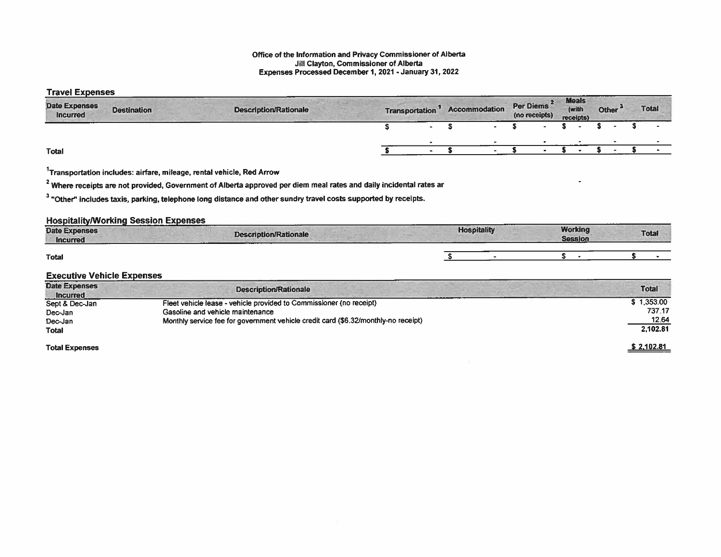#### Office of the Information and Privacy Commissioner of Alberta Jill Clayton, Commissioner of Alberta Expenses Processed December 1,2021 -January 31, 2022

### Travel Expenses

| .<br><b>Date Expenses</b><br><b>Incurred</b> | <b>Destination</b> | <b>Description/Rationale</b> | <b>Transportation</b> | <b>Accommodation</b> | $\overline{\mathbf{2}}$<br><b>Per Diems</b><br>(no receipts) | <b>Meals</b><br>(with<br>receipts) | Other <sup>d</sup> | <b>Total</b> |
|----------------------------------------------|--------------------|------------------------------|-----------------------|----------------------|--------------------------------------------------------------|------------------------------------|--------------------|--------------|
|                                              |                    |                              | $\sim$                |                      |                                                              |                                    |                    |              |
|                                              |                    |                              |                       |                      |                                                              |                                    |                    |              |
| <b>Total</b>                                 |                    |                              |                       |                      |                                                              |                                    |                    |              |

 $1$ Transportation includes: airfare, mileage, rental vehicle, Red Arrow

 $2$  Where receipts are not provided, Government of Alberta approved per diem meal rates and daily incidental rates ar

<sup>3</sup> "Other" includes taxis, parking, telephone long distance and other sundry travel costs supported by receipts.

## Hospitality/Working Session Expenses

| contract for the company<br><b>Date Expenses</b><br>Description/Rationale<br><b>Incurred</b><br><b>A R.A. P.A. P. AND LONG AT LCCC.</b> | <b>Hospitality</b> | <b>Working</b><br><b>Session</b> | <b>Total</b> |  |
|-----------------------------------------------------------------------------------------------------------------------------------------|--------------------|----------------------------------|--------------|--|
| __<br>Total                                                                                                                             |                    |                                  |              |  |

### Executive Vehicle Expenses

| <b>Date Expenses</b><br><b>Incurred</b> | <b>Description/Rationale</b>                                                       | <b>Total</b> |
|-----------------------------------------|------------------------------------------------------------------------------------|--------------|
| Sept & Dec-Jan                          | Fleet vehicle lease - vehicle provided to Commissioner (no receipt)                | \$1,353.00   |
| Dec-Jan                                 | Gasoline and vehicle maintenance                                                   | 737.17       |
| Dec-Jan                                 | Monthly service fee for government vehicle credit card (\$6.32/monthly-no receipt) | 12.64        |
| Total                                   |                                                                                    | 2.102.81     |
| <b>Total Expenses</b>                   |                                                                                    | \$2,102.81   |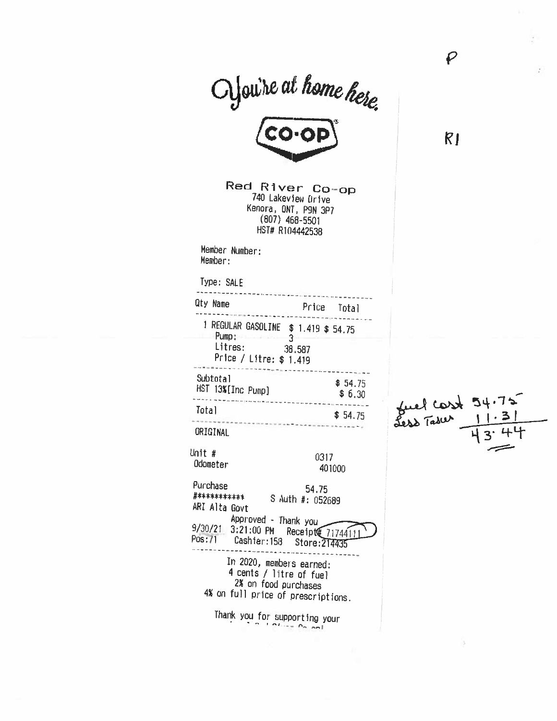Cyou're at home here.

Red River Co-op 740 Lakeview Drive Kenora, ONT, P9N 3P7  $(807)$  468-5501 HST# R104442538

Member Number: Member:

Type: SALE

Total

Qty Name Price Total 1 REGULAR GASOLINE \$ 1.419 \$ 54.75  $Pump:$  3 Litres: 38.587 Price / Litre: \$ 1.419 --------------------------------------Subtotal  $$54.75$ HST 13%[Inc Pump]  $$6.30$ - 1971 - 1975 - 1987 - 1988 - 1988 - 1988 - 1988 - 1988 - 1988 - 1988 - 1988 - 1988 - 1988 - 1988 - 1988 - 19

 $$54.75$ 

ORIGINAL

Unit # 0317 Odometer 401000

Purchase 54.75 #\*\*\*\*\*\*\*\*\*\*\* S Auth #: 052689 ARI Alta Govt Approved - Thank you

9/30/21 3:21:00 PM Receipt@ 71744111 - - - - - - - -

In 2020, members earned: 4 cents / litre of fuel 2% on food purchases 4% on full price of prescriptions.

Thank you for supporting your

 $R1$ 

 $\boldsymbol{\varrho}$ 

fuel cost 54.75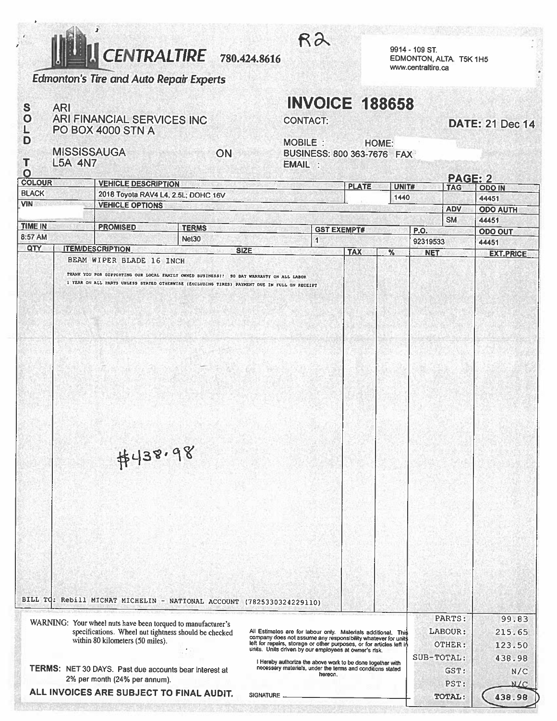

**Edmonton's Tire and Auto Repair Experts** 

ARI FINANCIAL SERVICES INC

PO BOX 4000 STN A

**ARI** 

 $\mathbf{s}$  $\overline{O}$ 

L

D

T

#### 9914 - 109 ST. EDMONTON, ALTA, T5K 1H5 www.centraltire.ca

# **INVOICE 188658**

|  |  | <b>CONTACT:</b> |  |
|--|--|-----------------|--|
|  |  |                 |  |

 $R<sup>2</sup>$ 

## **DATE: 21 Dec 14**

**MARKE** 

**MISSISSAUGA** ON **L5A 4N7** 

MOBILE : HOME: BUSINESS: 800 363-7676 FAX EMAIL :

| O<br><b>COLOUR</b>                       |                                                               |                                                                                   |                                                                                                                       |                                                                                                                                       |            |                |               |            | <b>PAGE: 2</b> |                  |
|------------------------------------------|---------------------------------------------------------------|-----------------------------------------------------------------------------------|-----------------------------------------------------------------------------------------------------------------------|---------------------------------------------------------------------------------------------------------------------------------------|------------|----------------|---------------|------------|----------------|------------------|
| <b>BLACK</b>                             | <b>VEHICLE DESCRIPTION</b><br><b>PLATE</b>                    |                                                                                   |                                                                                                                       | UNIT#                                                                                                                                 | <b>TAG</b> |                | <b>ODO IN</b> |            |                |                  |
| <b>VIN</b>                               | 2018 Toyota RAV4 L4, 2.5L; DOHC 16V<br><b>VEHICLE OPTIONS</b> |                                                                                   |                                                                                                                       |                                                                                                                                       | 1440       |                |               | 44451      |                |                  |
|                                          |                                                               |                                                                                   |                                                                                                                       |                                                                                                                                       |            |                |               | <b>ADV</b> |                | <b>ODO AUTH</b>  |
| <b>TIME IN</b>                           | <b>PROMISED</b><br><b>TERMS</b>                               |                                                                                   |                                                                                                                       |                                                                                                                                       |            | <b>SM</b>      |               | 44451      |                |                  |
| 8:57 AM                                  |                                                               | <b>GST EXEMPT#</b><br><b>P.O.</b><br>Net <sub>30</sub><br>$\overline{\mathbf{1}}$ |                                                                                                                       |                                                                                                                                       |            | <b>ODO OUT</b> |               |            |                |                  |
| QTY                                      |                                                               | <b>ITEM/DESCRIPTION</b>                                                           |                                                                                                                       | <b>SIZE</b>                                                                                                                           |            | <b>TAX</b>     | %             | 92319533   | 44451          |                  |
|                                          |                                                               | BEAM WIPER BLADE 16 INCH                                                          |                                                                                                                       |                                                                                                                                       |            |                |               | <b>NET</b> |                | <b>EXT.PRICE</b> |
|                                          |                                                               |                                                                                   | THANK YOU FOR SUPPORTING OUR LOCAL FAMILY OWNED BUSINESS !! 90 DAY WARRANTY ON ALL LABOR                              |                                                                                                                                       |            |                |               |            |                |                  |
|                                          |                                                               |                                                                                   | I YEAR ON ALL PARTS UNLESS STATED OTHERWISE (EXCLUDING TIRES) PAYMENT DUE IN FULL ON RECEIPT                          |                                                                                                                                       |            |                |               |            |                |                  |
|                                          |                                                               | #438.98                                                                           | BILL TQ: Rebill MICNAT MICHELIN - NATIONAL ACCOUNT (7825330324229110)                                                 |                                                                                                                                       |            |                |               |            |                |                  |
|                                          |                                                               |                                                                                   |                                                                                                                       |                                                                                                                                       |            |                |               | PARTS:     |                | 99.83            |
|                                          |                                                               |                                                                                   | WARNING: Your wheel nuts have been torqued to manufacturer's<br>specifications. Wheel nut tightness should be checked | All Estimates are for labour only. Materials additional. This                                                                         |            |                |               | LABOUR:    |                | 215.65           |
|                                          |                                                               | within 80 kilometers (50 miles).                                                  |                                                                                                                       | company does not assume any responsibility whatever for units<br>left for repairs, storage or other purposes, or for articles left in |            |                |               | OTHER:     |                | 123.50           |
|                                          |                                                               |                                                                                   |                                                                                                                       | units. Units driven by our employees at owner's risk.                                                                                 |            |                |               |            |                |                  |
|                                          |                                                               | TERMS: NET 30 DAYS. Past due accounts bear interest at                            |                                                                                                                       | I Hereby authorize the above work to be done together with<br>necessary materials, under the terms and conditions stated              |            |                |               | SUB-TOTAL: |                | 438.98           |
|                                          |                                                               | 2% per month (24% per annum).                                                     |                                                                                                                       |                                                                                                                                       | hereon.    |                |               |            | GST:           | N/C              |
| ALL INVOICES ARE SUBJECT TO FINAL AUDIT. |                                                               |                                                                                   |                                                                                                                       |                                                                                                                                       |            | PST:           | M/C           |            |                |                  |
|                                          |                                                               |                                                                                   |                                                                                                                       | SIGNATURE _                                                                                                                           |            |                |               | TOTAL:     |                | 438.98           |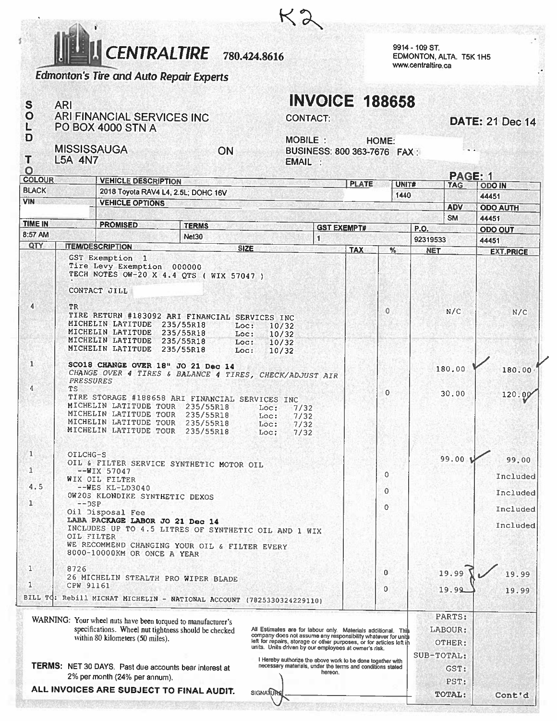**ENTRALTIRE** 780.424.8616

9914 - 109 ST. EDMONTON, ALTA. T5K 1H5 www.centraltire.ca

**TOTAL:** 

Cont'd

# **Edmonton's Tire and Auto Repair Experts**

ARI FINANCIAL SERVICES INC

S

 $\overline{O}$ 

L

D

T

O

**COLOUR** 

**BLACK** 

**TIME IN** 

8:57 AM

QTY

4

 $\mathbf{1}$ 

4

 $\mathbf{1}$ 

 $\mathbf{1}$ 

 $\mathbf{1}$ 

 $4.5$ 

TR

**TS** 

**VIN** 

**ARI** 

# **INVOICE 188658**

**CONTACT:** 

**DATE: 21 Dec 14** 

PO BOX 4000 STN A **MOBILE:** HOME: **MISSISSAUGA** ON BUSINESS: 800 363-7676 FAX: **L5A 4N7 EMAIL** PAGE: 1 **VEHICLE DESCRIPTION PLATE** UNIT# **TAG ODO IN** 2018 Toyota RAV4 L4, 2.5L; DOHC 16V 1440 44451 **VEHICLE OPTIONS ODO AUTH ADV SM** 44451 **PROMISED TERMS GST EXEMPT# P.O. ODO OUT** Net30  $\mathbf{1}$ 92319533 44451 **ITEM/DESCRIPTION SIZE TAX**  $\frac{1}{6}$ **NET EXT.PRICE** GST Exemption 1 Tire Levy Exemption 000000 TECH NOTES OW-20 X 4.4 QTS ( WIX 57047 ) CONTACT JILL  $\mathbf 0$  $N/C$ TIRE RETURN #183092 ARI FINANCIAL SERVICES INC  $N/C$ MICHELIN LATITUDE 235/55R18 Loc: 10/32 MICHELIN LATITUDE 235/55R18 Loc:  $10/32$ MICHELIN LATITUDE 235/55R18 Loc: 10/32 MICHELIN LATITUDE 235/55R18 Loc:  $10/32$ SCO18 CHANGE OVER 18" JO 21 Dec 14 180.00 180.00 CHANGE OVER 4 TIRES & BALANCE 4 TIRES, CHECK/ADJUST AIR **PRESSURES**  $\Omega$ 30.00 120.09 TIRE STORAGE #188658 ARI FINANCIAL SERVICES INC MICHELIN LATITUDE TOUR 235/55R18 Loc:  $7/32$ MICHELIN LATITUDE TOUR 235/55R18 Loc:  $7/32$ MICHELIN LATITUDE TOUR 235/55R18 Loc:  $7/32$ MICHELIN LATITUDE TOUR 235/55R18 Loc:  $7/32$ OILCHG-S 99.00 1 99.00 OIL & FILTER SERVICE SYNTHETIC MOTOR OIL  $-WIX$  57047 ŋ Included WIX OIL FILTER  $-\sqrt{\text{WES KL}-LD3040}$  $\overline{0}$ Included OW20S KLONDIKE SYNTHETIC DEXOS  $--$  DSP  $\Omega$ Included Oil Disposal Fee LABA PACKAGE LABOR JO 21 Dec 14 Included INCLUDES UP TO 4.5 LITRES OF SYNTHETIC OIL AND 1 WIX OIL FILTER WE RECOMMEND CHANGING YOUR OIL & FILTER EVERY

8000-10000KM OR ONCE A YEAR  $\mathbf{1}$ 8726  $\overline{0}$ 19.99 19.99 26 MICHELIN STEALTH PRO WIPER BLADE CPW 91161 1  $\Omega$  $19.99$ 19.99 BILL TQ: Rebill MICNAT MICHELIN - NATIONAL ACCOUNT (7825330324229110) PARTS: WARNING: Your wheel nuts have been torqued to manufacturer's specifications. Wheel nut tightness should be checked All Estimates are for labour only. Materials additional. This LABOUR: company does not assume any responsibility whatever for units<br>left for repairs, storage or other purposes, or for articles left in within 80 kilometers (50 miles). OTHER: units. Units driven by our employees at owner's risk. SUB-TOTAL: I Hereby authorize the above work to be done together with<br>necessary materials, under the terms and conditions stated TERMS: NET 30 DAYS. Past due accounts bear interest at  $GST:$ hereon. 2% per month (24% per annum). PST: **SIGNATURE** 

## ALL INVOICES ARE SUBJECT TO FINAL AUDIT.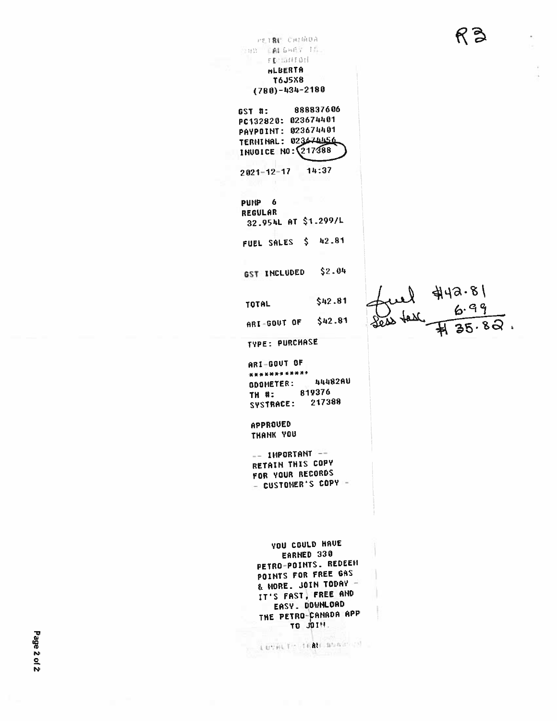$R3$ 

 $\ddot{\phantom{0}}$ 

| PETRU CHIMDA<br>THE CALGARY IS.<br>FE0154704                                                                                                                                | K Ə        |
|-----------------------------------------------------------------------------------------------------------------------------------------------------------------------------|------------|
| HLBERTA                                                                                                                                                                     |            |
| T6J5X8                                                                                                                                                                      |            |
| $(780) - 434 - 2180$                                                                                                                                                        |            |
| 888837606<br>GST #:<br>PC132820: 023674401<br>PAYPOINT: 023674401<br>023674456<br><b>TERNINAL:</b><br>INUDICE NO: 217388                                                    |            |
| 14:37<br>$2021 - 12 - 17$                                                                                                                                                   |            |
| PUMP <sub>6</sub><br><b>REGULAR</b><br>32.954L AT \$1.299/L                                                                                                                 |            |
| FUEL SALES \$ 42.81                                                                                                                                                         |            |
| GST INCLUDED \$2.04                                                                                                                                                         |            |
| \$42.81<br>TOTAL                                                                                                                                                            | ul \$19.81 |
| ARI-GOUT OF \$42.81                                                                                                                                                         |            |
| <b>TYPE: PURCHASE</b>                                                                                                                                                       |            |
| <b>ARI-GOVT OF</b><br>************<br>44482AU<br><b>GDOMETER:</b><br>819376<br><b>TH #:</b><br>217388<br>SYSTRACE:                                                          |            |
| APPROUED<br>THANK YOU                                                                                                                                                       |            |
| -- IMPORTANT --<br>RETAIN THIS COPY<br>FOR YOUR RECORDS<br>- CUSTOMER'S COPY -                                                                                              |            |
| <b>YOU COULD HAVE</b><br>EARNED 330<br>PETRO-POINTS. REDEEN<br>POINTS FOR FREE GAS<br>& MORE. JOIN TODAY -<br>IT'S FAST, FREE AND<br>EASY. DOWNLOAD<br>THE PETRO-CANADA APP |            |

 $\label{eq:2} \begin{array}{c} \begin{array}{c} \begin{array}{c} \end{array} \\ \begin{array}{c} \end{array} \end{array} \begin{array}{c} \begin{array}{c} \end{array} \end{array} \begin{array}{c} \begin{array}{c} \end{array} \end{array} \begin{array}{c} \begin{array}{c} \end{array} \end{array} \begin{array}{c} \end{array} \begin{array}{c} \end{array} \begin{array}{c} \end{array} \begin{array}{c} \end{array} \end{array}$ 

Page 2 of 2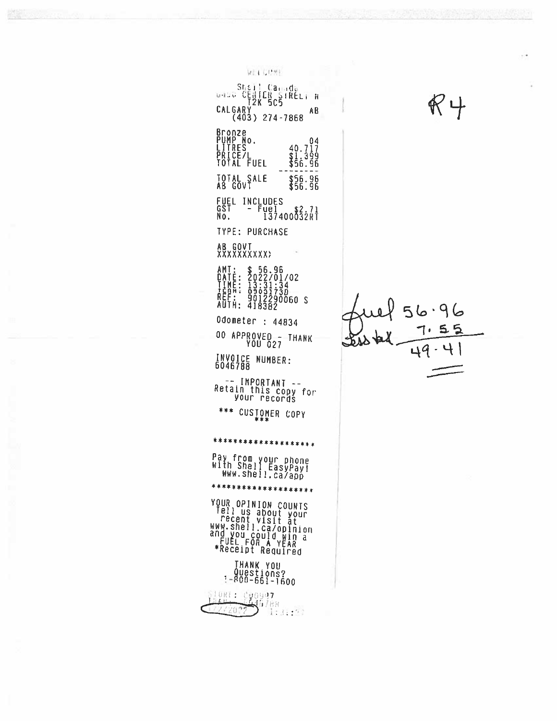WELCOME. UNUC CENTER SIRELY N<br>UNUC CENTER SIRELY N<br>CALGARY 274-7868 AB Bronze<br>PUMP No.<br>LITRES<br>PRICE/L<br>TOTAL FUEL  $\begin{smallmatrix}&&&04\40.717\\91.399\\\$56.96\end{smallmatrix}$ TOTAL SALE  $$56.96$ <br> $$56.96$ FUEL INCLUDES<br>GST - Fuel \$2.71<br>No. 137400032RT **TYPE: PURCHASE** AB GOVT<br>XXXXXXXXXX AMT: \$ 56.96<br>DATE: 2022/01/02<br>TIME: 13:31:34<br>TERT: 03031730<br>REF: 9012290060 S<br>AUTH: 418382 Odometer : 44834 00 APPROVED--THANK INVOICE NUMBER:<br>6046788 -- IMPORTANT --<br>Retain this copy for<br>your records \*\*\* CUSIOMER COPY \*\*\*\*\*\*\*\*\*\*\*\*\*\*\*\*\*\*\*\* Pay from your phone<br>With Shell EasyPay!<br>WWW.shell.ca/app \*\*\*\*\*\*\*\*\*\*\*\*\*\*\*\*\*\*\*

YOUR OPINION COUNTS<br>
Tell us about your<br>
recent visit at<br>
recent visit at<br>
WWW.shell.ca/opinion<br>
and you could win a<br>
FUEL FOR A YEAR<br>
\*Receipt Required

# THANK YOU<br>Questions?<br>!-800-661-1600

SlORE: Cyoy97<br>172720?2 1:3:17

 $\mathbb{K} \not\vdash$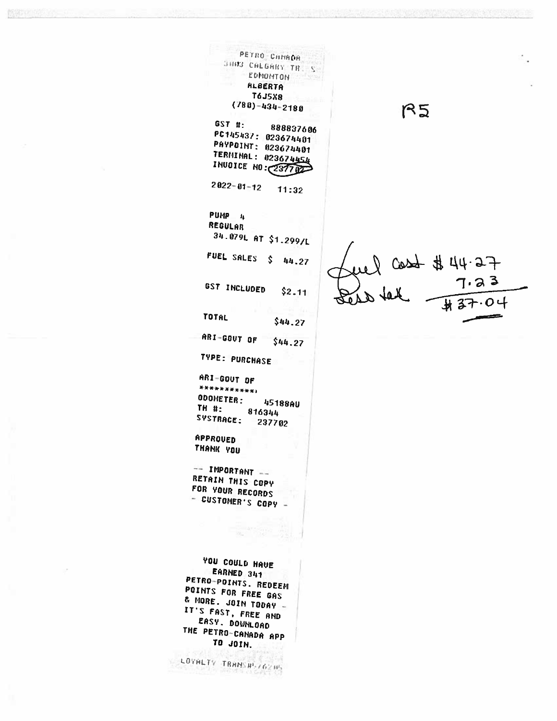**ASTRONOMIC COMPANY** 

ż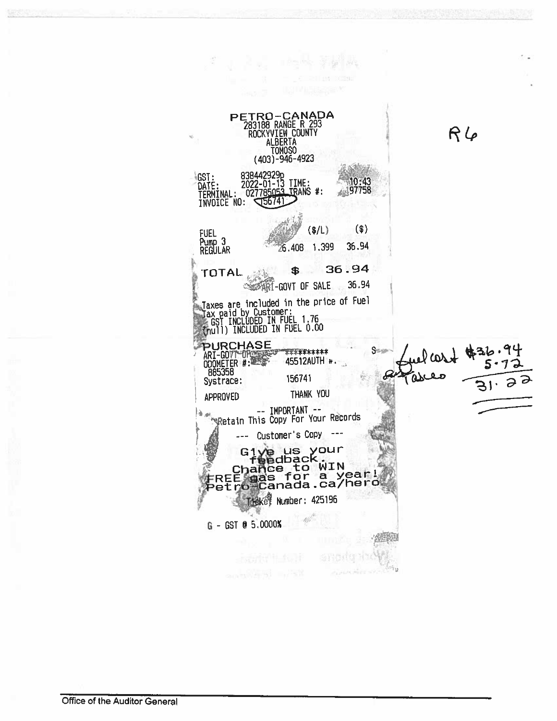PETRO-CANADA<br>283188 RANGE R 293<br>ROCKYVIEW COUNTY<br>ALBERTA  $R6$ TOMOSO<br>(403)-946-4923 GST: 838442929p<br>DATE: 2022-01-13 TIME:<br>TERMINAL: 027785053 TRANS #:<br>INVOICE NO: 555741  $0.43$ 97758  $<sup>($)</sup>$ </sup>  $($/L)$ FUEL<br>Pump 3<br>REGULAR 6.408 1.399 36.94 \$ 36.94 **TOTAL SEART-GOVT OF SALE** 36.94 Taxes are included in the price of Fuel<br>Tax paid by Customer:<br>EGST INCLUDED IN FUEL 1.76<br>{mull) INCLUDED IN FUEL 0.00 PURCHASE<br>ARI-GOVT-ORS Supp \*\*\*\*\*\*\*\*\*\* 45512AUTH 156741 Systrace: THANK YOU APPROVED -- IMPORTANT --<br>Retain This Copy For Your Records ù al --- Customer's Copy  $---$ Give us your<br>chance to win<br>FREE gas for a year!<br>Petro-Canada.ca/hero Tteket Number: 425196 G - GST @ 5.0000%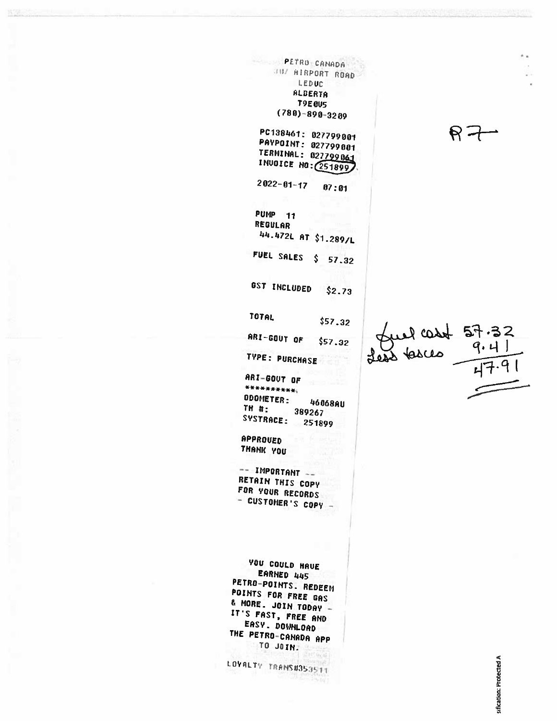PETRO CANADA JUZ AIRPORT ROAD LEDUC **ALBERTA T9E GUS**  $(780) - 890 - 3289$ PC138461: 027799001 PAYPOINT: 027799001 TERMINAL: 027799061 INUOICE NO: 251899  $2022 - 01 - 17$  $07:01$ **PUMP 111** REGULAR 44.472L AT \$1.289/L FUEL SALES \$ 57.32 GST INCLUDED  $$2.73$ TOTAL  $$57.32$ ARI-GOUT OF  $$57.32$ TYPE: PURCHASE ARI-GOUT OF \*\*\*\*\*\*\*\*\*\*\* ODDMETER: 46068AU TH #: 389267 SYSTRACE: 251899 APPROUED THANK YOU  $---$  IMPORTANT  $---$ RETAIN THIS COPY FOR YOUR RECORDS - CUSTOMER'S COPY -YOU COULD HAVE EARNED 445 PETRO-POINTS. REDEEM POINTS FOR FREE GAS & MORE. JOIN TODAY -IT'S FAST, FREE AND EASY. DOWNLOAD THE PETRO-CANADA APP TO JOIN. LOVALTY TRANS#853511

ul cost 57.32

 $R - t$ 

sification: Protected A